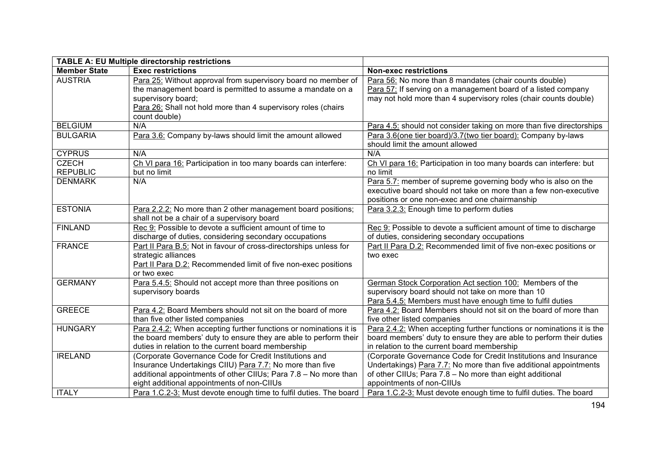| <b>TABLE A: EU Multiple directorship restrictions</b> |                                                                   |                                                                       |
|-------------------------------------------------------|-------------------------------------------------------------------|-----------------------------------------------------------------------|
| <b>Member State</b>                                   | <b>Exec restrictions</b>                                          | <b>Non-exec restrictions</b>                                          |
| <b>AUSTRIA</b>                                        | Para 25: Without approval from supervisory board no member of     | Para 56: No more than 8 mandates (chair counts double)                |
|                                                       | the management board is permitted to assume a mandate on a        | Para 57: If serving on a management board of a listed company         |
|                                                       | supervisory board;                                                | may not hold more than 4 supervisory roles (chair counts double)      |
|                                                       | Para 26: Shall not hold more than 4 supervisory roles (chairs     |                                                                       |
|                                                       | count double)                                                     |                                                                       |
| <b>BELGIUM</b>                                        | N/A                                                               | Para 4.5: should not consider taking on more than five directorships  |
| <b>BULGARIA</b>                                       | Para 3.6: Company by-laws should limit the amount allowed         | Para 3.6(one tier board)/3.7(two tier board): Company by-laws         |
|                                                       |                                                                   | should limit the amount allowed                                       |
| <b>CYPRUS</b>                                         | N/A                                                               | N/A                                                                   |
| <b>CZECH</b>                                          | Ch VI para 16: Participation in too many boards can interfere:    | Ch VI para 16: Participation in too many boards can interfere: but    |
| <b>REPUBLIC</b>                                       | but no limit                                                      | no limit                                                              |
| <b>DENMARK</b>                                        | N/A                                                               | Para 5.7: member of supreme governing body who is also on the         |
|                                                       |                                                                   | executive board should not take on more than a few non-executive      |
|                                                       |                                                                   | positions or one non-exec and one chairmanship                        |
| <b>ESTONIA</b>                                        | Para 2.2.2: No more than 2 other management board positions;      | Para 3.2.3: Enough time to perform duties                             |
|                                                       | shall not be a chair of a supervisory board                       |                                                                       |
| <b>FINLAND</b>                                        | Rec 9: Possible to devote a sufficient amount of time to          | Rec 9: Possible to devote a sufficient amount of time to discharge    |
|                                                       | discharge of duties, considering secondary occupations            | of duties, considering secondary occupations                          |
| <b>FRANCE</b>                                         | Part II Para B.5: Not in favour of cross-directorships unless for | Part II Para D.2: Recommended limit of five non-exec positions or     |
|                                                       | strategic alliances                                               | two exec                                                              |
|                                                       | Part II Para D.2: Recommended limit of five non-exec positions    |                                                                       |
|                                                       | or two exec                                                       |                                                                       |
| <b>GERMANY</b>                                        | Para 5.4.5: Should not accept more than three positions on        | German Stock Corporation Act section 100: Members of the              |
|                                                       | supervisory boards                                                | supervisory board should not take on more than 10                     |
|                                                       |                                                                   | Para 5.4.5: Members must have enough time to fulfil duties            |
| <b>GREECE</b>                                         | Para 4.2: Board Members should not sit on the board of more       | Para 4.2: Board Members should not sit on the board of more than      |
|                                                       | than five other listed companies                                  | five other listed companies                                           |
| <b>HUNGARY</b>                                        | Para 2.4.2: When accepting further functions or nominations it is | Para 2.4.2: When accepting further functions or nominations it is the |
|                                                       | the board members' duty to ensure they are able to perform their  | board members' duty to ensure they are able to perform their duties   |
|                                                       | duties in relation to the current board membership                | in relation to the current board membership                           |
| <b>IRELAND</b>                                        | (Corporate Governance Code for Credit Institutions and            | (Corporate Governance Code for Credit Institutions and Insurance      |
|                                                       | Insurance Undertakings CIIU) Para 7.7: No more than five          | Undertakings) Para 7.7: No more than five additional appointments     |
|                                                       | additional appointments of other CIIUs; Para 7.8 - No more than   | of other CIIUs; Para 7.8 - No more than eight additional              |
|                                                       | eight additional appointments of non-CIIUs                        | appointments of non-CIIUs                                             |
| <b>ITALY</b>                                          | Para 1.C.2-3: Must devote enough time to fulfil duties. The board | Para 1.C.2-3: Must devote enough time to fulfil duties. The board     |